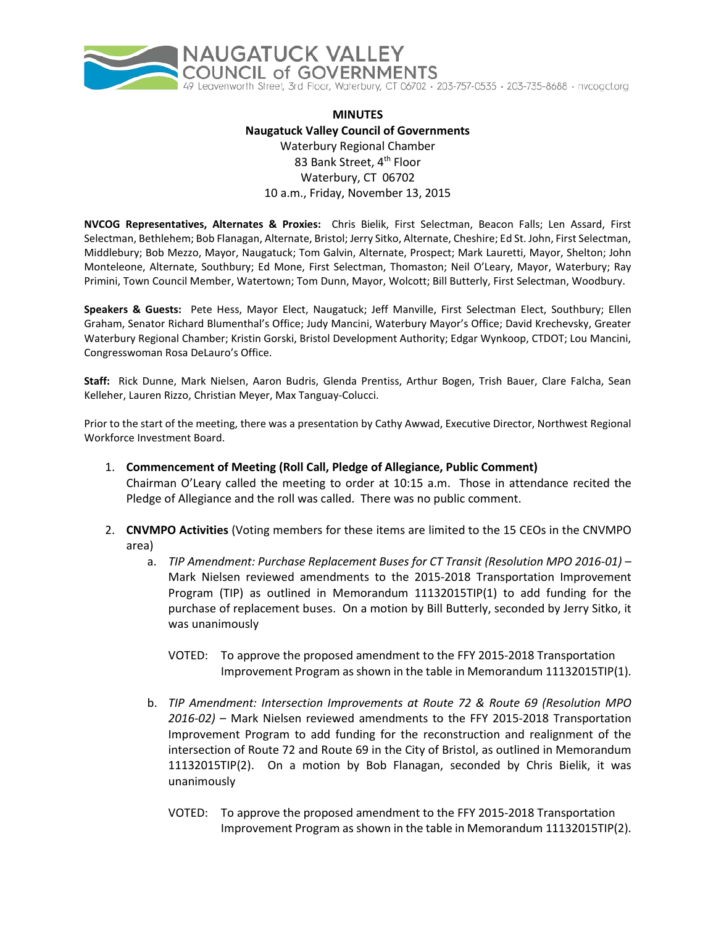

## **MINUTES Naugatuck Valley Council of Governments** Waterbury Regional Chamber 83 Bank Street, 4<sup>th</sup> Floor Waterbury, CT 06702 10 a.m., Friday, November 13, 2015

**NVCOG Representatives, Alternates & Proxies:** Chris Bielik, First Selectman, Beacon Falls; Len Assard, First Selectman, Bethlehem; Bob Flanagan, Alternate, Bristol; Jerry Sitko, Alternate, Cheshire; Ed St. John, First Selectman, Middlebury; Bob Mezzo, Mayor, Naugatuck; Tom Galvin, Alternate, Prospect; Mark Lauretti, Mayor, Shelton; John Monteleone, Alternate, Southbury; Ed Mone, First Selectman, Thomaston; Neil O'Leary, Mayor, Waterbury; Ray Primini, Town Council Member, Watertown; Tom Dunn, Mayor, Wolcott; Bill Butterly, First Selectman, Woodbury.

**Speakers & Guests:** Pete Hess, Mayor Elect, Naugatuck; Jeff Manville, First Selectman Elect, Southbury; Ellen Graham, Senator Richard Blumenthal's Office; Judy Mancini, Waterbury Mayor's Office; David Krechevsky, Greater Waterbury Regional Chamber; Kristin Gorski, Bristol Development Authority; Edgar Wynkoop, CTDOT; Lou Mancini, Congresswoman Rosa DeLauro's Office.

**Staff:** Rick Dunne, Mark Nielsen, Aaron Budris, Glenda Prentiss, Arthur Bogen, Trish Bauer, Clare Falcha, Sean Kelleher, Lauren Rizzo, Christian Meyer, Max Tanguay-Colucci.

Prior to the start of the meeting, there was a presentation by Cathy Awwad, Executive Director, Northwest Regional Workforce Investment Board.

- 1. **Commencement of Meeting (Roll Call, Pledge of Allegiance, Public Comment)** Chairman O'Leary called the meeting to order at 10:15 a.m. Those in attendance recited the Pledge of Allegiance and the roll was called. There was no public comment.
- 2. **CNVMPO Activities** (Voting members for these items are limited to the 15 CEOs in the CNVMPO area)
	- a. *TIP Amendment: Purchase Replacement Buses for CT Transit (Resolution MPO 2016-01)* Mark Nielsen reviewed amendments to the 2015-2018 Transportation Improvement Program (TIP) as outlined in Memorandum 11132015TIP(1) to add funding for the purchase of replacement buses. On a motion by Bill Butterly, seconded by Jerry Sitko, it was unanimously
		- VOTED: To approve the proposed amendment to the FFY 2015-2018 Transportation Improvement Program as shown in the table in Memorandum 11132015TIP(1).
	- b. *TIP Amendment: Intersection Improvements at Route 72 & Route 69 (Resolution MPO 2016-02)* – Mark Nielsen reviewed amendments to the FFY 2015-2018 Transportation Improvement Program to add funding for the reconstruction and realignment of the intersection of Route 72 and Route 69 in the City of Bristol, as outlined in Memorandum 11132015TIP(2). On a motion by Bob Flanagan, seconded by Chris Bielik, it was unanimously
		- VOTED: To approve the proposed amendment to the FFY 2015-2018 Transportation Improvement Program as shown in the table in Memorandum 11132015TIP(2).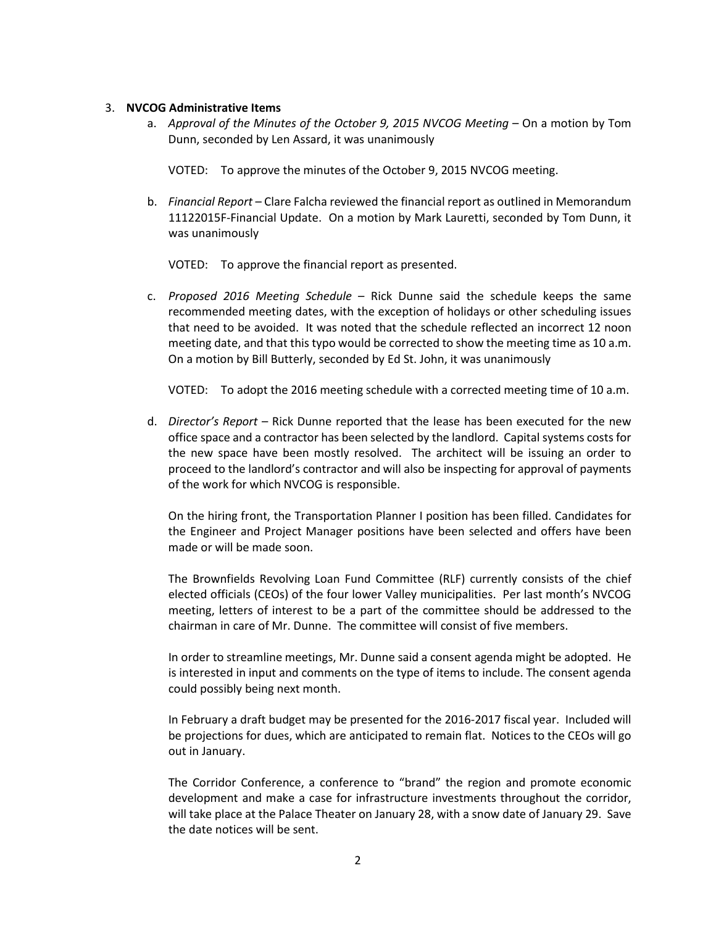#### 3. **NVCOG Administrative Items**

a. *Approval of the Minutes of the October 9, 2015 NVCOG Meeting* – On a motion by Tom Dunn, seconded by Len Assard, it was unanimously

VOTED: To approve the minutes of the October 9, 2015 NVCOG meeting.

b. *Financial Report* – Clare Falcha reviewed the financial report as outlined in Memorandum 11122015F-Financial Update. On a motion by Mark Lauretti, seconded by Tom Dunn, it was unanimously

VOTED: To approve the financial report as presented.

c. *Proposed 2016 Meeting Schedule* – Rick Dunne said the schedule keeps the same recommended meeting dates, with the exception of holidays or other scheduling issues that need to be avoided. It was noted that the schedule reflected an incorrect 12 noon meeting date, and that this typo would be corrected to show the meeting time as 10 a.m. On a motion by Bill Butterly, seconded by Ed St. John, it was unanimously

VOTED: To adopt the 2016 meeting schedule with a corrected meeting time of 10 a.m.

d. *Director's Report* – Rick Dunne reported that the lease has been executed for the new office space and a contractor has been selected by the landlord. Capital systems costs for the new space have been mostly resolved. The architect will be issuing an order to proceed to the landlord's contractor and will also be inspecting for approval of payments of the work for which NVCOG is responsible.

On the hiring front, the Transportation Planner I position has been filled. Candidates for the Engineer and Project Manager positions have been selected and offers have been made or will be made soon.

The Brownfields Revolving Loan Fund Committee (RLF) currently consists of the chief elected officials (CEOs) of the four lower Valley municipalities. Per last month's NVCOG meeting, letters of interest to be a part of the committee should be addressed to the chairman in care of Mr. Dunne. The committee will consist of five members.

In order to streamline meetings, Mr. Dunne said a consent agenda might be adopted. He is interested in input and comments on the type of items to include. The consent agenda could possibly being next month.

In February a draft budget may be presented for the 2016-2017 fiscal year. Included will be projections for dues, which are anticipated to remain flat. Notices to the CEOs will go out in January.

The Corridor Conference, a conference to "brand" the region and promote economic development and make a case for infrastructure investments throughout the corridor, will take place at the Palace Theater on January 28, with a snow date of January 29. Save the date notices will be sent.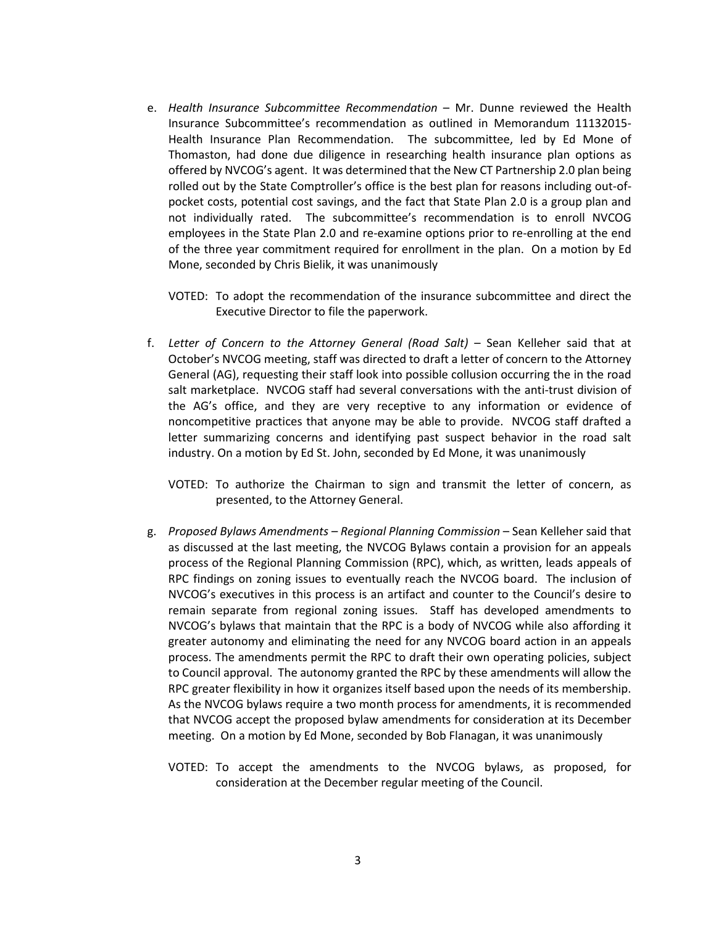- e. *Health Insurance Subcommittee Recommendation* Mr. Dunne reviewed the Health Insurance Subcommittee's recommendation as outlined in Memorandum 11132015- Health Insurance Plan Recommendation. The subcommittee, led by Ed Mone of Thomaston, had done due diligence in researching health insurance plan options as offered by NVCOG's agent. It was determined that the New CT Partnership 2.0 plan being rolled out by the State Comptroller's office is the best plan for reasons including out-ofpocket costs, potential cost savings, and the fact that State Plan 2.0 is a group plan and not individually rated. The subcommittee's recommendation is to enroll NVCOG employees in the State Plan 2.0 and re-examine options prior to re-enrolling at the end of the three year commitment required for enrollment in the plan. On a motion by Ed Mone, seconded by Chris Bielik, it was unanimously
	- VOTED: To adopt the recommendation of the insurance subcommittee and direct the Executive Director to file the paperwork.
- f. *Letter of Concern to the Attorney General (Road Salt)* Sean Kelleher said that at October's NVCOG meeting, staff was directed to draft a letter of concern to the Attorney General (AG), requesting their staff look into possible collusion occurring the in the road salt marketplace. NVCOG staff had several conversations with the anti-trust division of the AG's office, and they are very receptive to any information or evidence of noncompetitive practices that anyone may be able to provide. NVCOG staff drafted a letter summarizing concerns and identifying past suspect behavior in the road salt industry. On a motion by Ed St. John, seconded by Ed Mone, it was unanimously
	- VOTED: To authorize the Chairman to sign and transmit the letter of concern, as presented, to the Attorney General.
- g. *Proposed Bylaws Amendments – Regional Planning Commission* Sean Kelleher said that as discussed at the last meeting, the NVCOG Bylaws contain a provision for an appeals process of the Regional Planning Commission (RPC), which, as written, leads appeals of RPC findings on zoning issues to eventually reach the NVCOG board. The inclusion of NVCOG's executives in this process is an artifact and counter to the Council's desire to remain separate from regional zoning issues. Staff has developed amendments to NVCOG's bylaws that maintain that the RPC is a body of NVCOG while also affording it greater autonomy and eliminating the need for any NVCOG board action in an appeals process. The amendments permit the RPC to draft their own operating policies, subject to Council approval. The autonomy granted the RPC by these amendments will allow the RPC greater flexibility in how it organizes itself based upon the needs of its membership. As the NVCOG bylaws require a two month process for amendments, it is recommended that NVCOG accept the proposed bylaw amendments for consideration at its December meeting. On a motion by Ed Mone, seconded by Bob Flanagan, it was unanimously
	- VOTED: To accept the amendments to the NVCOG bylaws, as proposed, for consideration at the December regular meeting of the Council.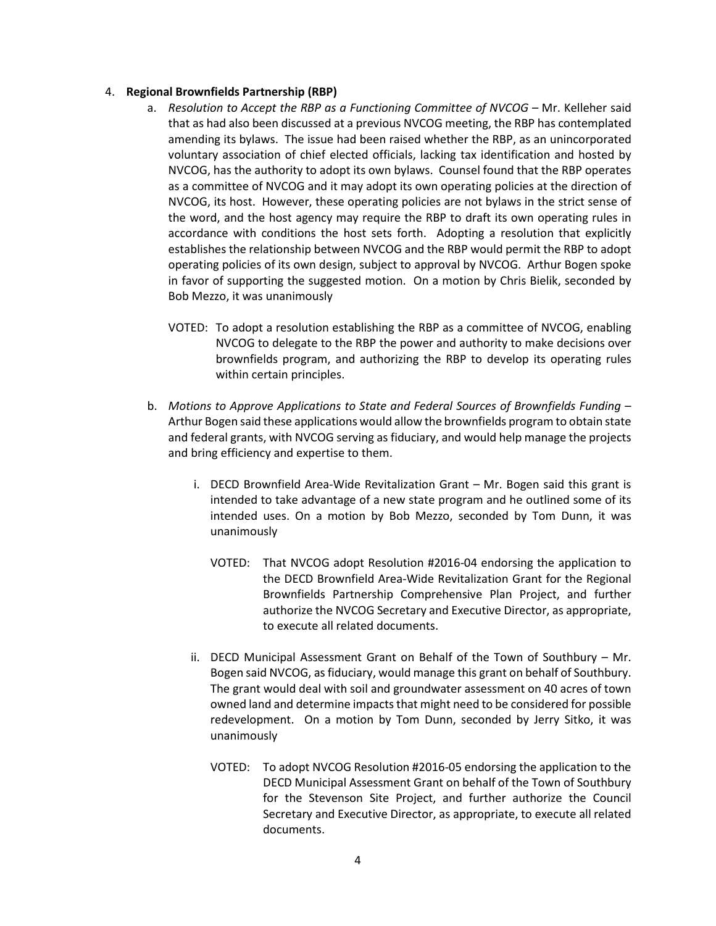#### 4. **Regional Brownfields Partnership (RBP)**

- a. *Resolution to Accept the RBP as a Functioning Committee of NVCOG –* Mr. Kelleher said that as had also been discussed at a previous NVCOG meeting, the RBP has contemplated amending its bylaws. The issue had been raised whether the RBP, as an unincorporated voluntary association of chief elected officials, lacking tax identification and hosted by NVCOG, has the authority to adopt its own bylaws. Counsel found that the RBP operates as a committee of NVCOG and it may adopt its own operating policies at the direction of NVCOG, its host. However, these operating policies are not bylaws in the strict sense of the word, and the host agency may require the RBP to draft its own operating rules in accordance with conditions the host sets forth. Adopting a resolution that explicitly establishes the relationship between NVCOG and the RBP would permit the RBP to adopt operating policies of its own design, subject to approval by NVCOG. Arthur Bogen spoke in favor of supporting the suggested motion. On a motion by Chris Bielik, seconded by Bob Mezzo, it was unanimously
	- VOTED: To adopt a resolution establishing the RBP as a committee of NVCOG, enabling NVCOG to delegate to the RBP the power and authority to make decisions over brownfields program, and authorizing the RBP to develop its operating rules within certain principles.
- b. *Motions to Approve Applications to State and Federal Sources of Brownfields Funding* Arthur Bogen said these applications would allow the brownfields program to obtain state and federal grants, with NVCOG serving as fiduciary, and would help manage the projects and bring efficiency and expertise to them.
	- i. DECD Brownfield Area-Wide Revitalization Grant Mr. Bogen said this grant is intended to take advantage of a new state program and he outlined some of its intended uses. On a motion by Bob Mezzo, seconded by Tom Dunn, it was unanimously
		- VOTED: That NVCOG adopt Resolution #2016-04 endorsing the application to the DECD Brownfield Area-Wide Revitalization Grant for the Regional Brownfields Partnership Comprehensive Plan Project, and further authorize the NVCOG Secretary and Executive Director, as appropriate, to execute all related documents.
	- ii. DECD Municipal Assessment Grant on Behalf of the Town of Southbury Mr. Bogen said NVCOG, as fiduciary, would manage this grant on behalf of Southbury. The grant would deal with soil and groundwater assessment on 40 acres of town owned land and determine impacts that might need to be considered for possible redevelopment. On a motion by Tom Dunn, seconded by Jerry Sitko, it was unanimously
		- VOTED: To adopt NVCOG Resolution #2016-05 endorsing the application to the DECD Municipal Assessment Grant on behalf of the Town of Southbury for the Stevenson Site Project, and further authorize the Council Secretary and Executive Director, as appropriate, to execute all related documents.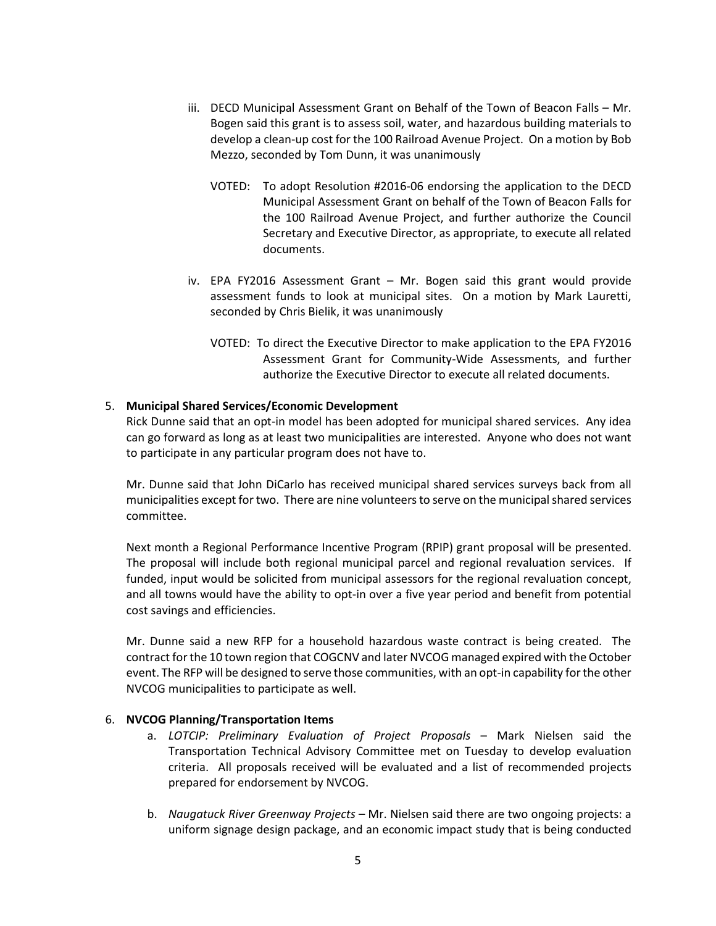- iii. DECD Municipal Assessment Grant on Behalf of the Town of Beacon Falls Mr. Bogen said this grant is to assess soil, water, and hazardous building materials to develop a clean-up cost for the 100 Railroad Avenue Project. On a motion by Bob Mezzo, seconded by Tom Dunn, it was unanimously
	- VOTED: To adopt Resolution #2016-06 endorsing the application to the DECD Municipal Assessment Grant on behalf of the Town of Beacon Falls for the 100 Railroad Avenue Project, and further authorize the Council Secretary and Executive Director, as appropriate, to execute all related documents.
- iv. EPA FY2016 Assessment Grant Mr. Bogen said this grant would provide assessment funds to look at municipal sites. On a motion by Mark Lauretti, seconded by Chris Bielik, it was unanimously
	- VOTED: To direct the Executive Director to make application to the EPA FY2016 Assessment Grant for Community-Wide Assessments, and further authorize the Executive Director to execute all related documents.

## 5. **Municipal Shared Services/Economic Development**

Rick Dunne said that an opt-in model has been adopted for municipal shared services. Any idea can go forward as long as at least two municipalities are interested. Anyone who does not want to participate in any particular program does not have to.

Mr. Dunne said that John DiCarlo has received municipal shared services surveys back from all municipalities except for two. There are nine volunteers to serve on the municipal shared services committee.

Next month a Regional Performance Incentive Program (RPIP) grant proposal will be presented. The proposal will include both regional municipal parcel and regional revaluation services. If funded, input would be solicited from municipal assessors for the regional revaluation concept, and all towns would have the ability to opt-in over a five year period and benefit from potential cost savings and efficiencies.

Mr. Dunne said a new RFP for a household hazardous waste contract is being created. The contract for the 10 town region that COGCNV and later NVCOG managed expired with the October event. The RFP will be designed to serve those communities, with an opt-in capability for the other NVCOG municipalities to participate as well.

## 6. **NVCOG Planning/Transportation Items**

- a. *LOTCIP: Preliminary Evaluation of Project Proposals* Mark Nielsen said the Transportation Technical Advisory Committee met on Tuesday to develop evaluation criteria. All proposals received will be evaluated and a list of recommended projects prepared for endorsement by NVCOG.
- b. *Naugatuck River Greenway Projects* Mr. Nielsen said there are two ongoing projects: a uniform signage design package, and an economic impact study that is being conducted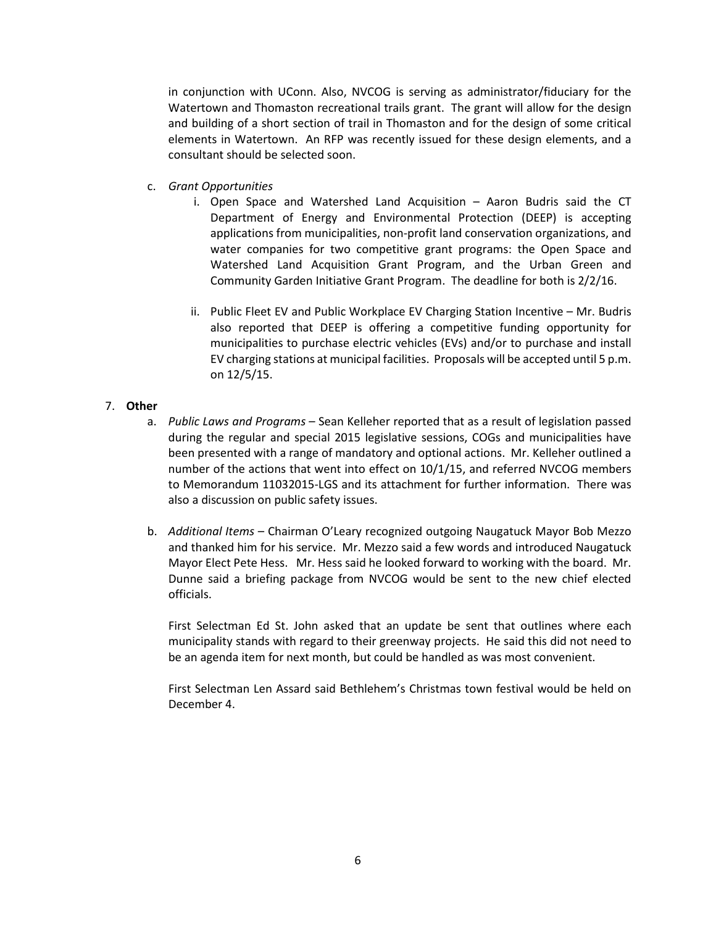in conjunction with UConn. Also, NVCOG is serving as administrator/fiduciary for the Watertown and Thomaston recreational trails grant. The grant will allow for the design and building of a short section of trail in Thomaston and for the design of some critical elements in Watertown. An RFP was recently issued for these design elements, and a consultant should be selected soon.

- c. *Grant Opportunities*
	- i. Open Space and Watershed Land Acquisition Aaron Budris said the CT Department of Energy and Environmental Protection (DEEP) is accepting applications from municipalities, non-profit land conservation organizations, and water companies for two competitive grant programs: the Open Space and Watershed Land Acquisition Grant Program, and the Urban Green and Community Garden Initiative Grant Program. The deadline for both is 2/2/16.
	- ii. Public Fleet EV and Public Workplace EV Charging Station Incentive Mr. Budris also reported that DEEP is offering a competitive funding opportunity for municipalities to purchase electric vehicles (EVs) and/or to purchase and install EV charging stations at municipal facilities. Proposals will be accepted until 5 p.m. on 12/5/15.

## 7. **Other**

- a. *Public Laws and Programs* Sean Kelleher reported that as a result of legislation passed during the regular and special 2015 legislative sessions, COGs and municipalities have been presented with a range of mandatory and optional actions. Mr. Kelleher outlined a number of the actions that went into effect on 10/1/15, and referred NVCOG members to Memorandum 11032015-LGS and its attachment for further information. There was also a discussion on public safety issues.
- b. *Additional Items* Chairman O'Leary recognized outgoing Naugatuck Mayor Bob Mezzo and thanked him for his service. Mr. Mezzo said a few words and introduced Naugatuck Mayor Elect Pete Hess. Mr. Hess said he looked forward to working with the board. Mr. Dunne said a briefing package from NVCOG would be sent to the new chief elected officials.

First Selectman Ed St. John asked that an update be sent that outlines where each municipality stands with regard to their greenway projects. He said this did not need to be an agenda item for next month, but could be handled as was most convenient.

First Selectman Len Assard said Bethlehem's Christmas town festival would be held on December 4.